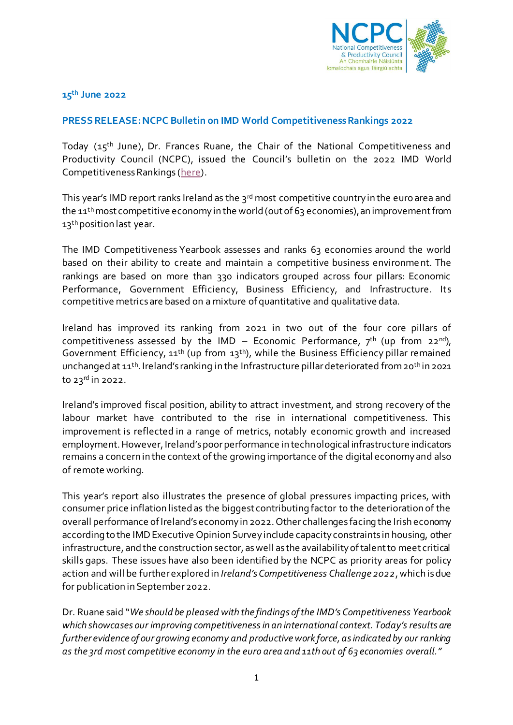

**15th June 2022**

## **PRESS RELEASE:NCPC Bulletin on IMD World Competitiveness Rankings 2022**

Today (15<sup>th</sup> June), Dr. Frances Ruane, the Chair of the National Competitiveness and Productivity Council (NCPC), issued the Council's bulletin on the 2022 IMD World Competitiveness Rankings [\(here\)](http://www.competitiveness.ie/).

This year's IMD report ranks Ireland as the 3<sup>rd</sup> most competitive country in the euro area and the 11<sup>th</sup> most competitive economy in the world (out of 63 economies), an improvement from 13<sup>th</sup> position last year.

The IMD Competitiveness Yearbook assesses and ranks 63 economies around the world based on their ability to create and maintain a competitive business environment. The rankings are based on more than 330 indicators grouped across four pillars: Economic Performance, Government Efficiency, Business Efficiency, and Infrastructure. Its competitive metrics are based on a mixture of quantitative and qualitative data.

Ireland has improved its ranking from 2021 in two out of the four core pillars of competitiveness assessed by the IMD – Economic Performance,  $7<sup>th</sup>$  (up from 22<sup>nd</sup>), Government Efficiency,  $11<sup>th</sup>$  (up from  $13<sup>th</sup>$ ), while the Business Efficiency pillar remained unchanged at 11<sup>th</sup>. Ireland's ranking in the Infrastructure pillar deteriorated from 20<sup>th</sup> in 2021 to 23rd in 2022.

Ireland's improved fiscal position, ability to attract investment, and strong recovery of the labour market have contributed to the rise in international competitiveness. This improvement is reflected in a range of metrics, notably economic growth and increased employment. However, Ireland's poor performance in technological infrastructure indicators remains a concern in the context of the growing importance of the digital economy and also of remote working.

This year's report also illustrates the presence of global pressures impacting prices, with consumer price inflation listed as the biggest contributing factor to the deterioration of the overall performance of Ireland's economy in 2022. Other challenges facing the Irish economy according to the IMD Executive Opinion Survey include capacity constraints in housing, other infrastructure, and the construction sector, as well as the availability of talent to meet critical skills gaps. These issues have also been identified by the NCPC as priority areas for policy action and will be further explored in *Ireland's Competitiveness Challenge 2022*, which is due for publication in September 2022.

Dr. Ruane said "*We should be pleased with the findings of the IMD's Competitiveness Yearbook which showcases our improving competitivenessin an international context. Today's results are further evidence of our growing economy and productive work force, as indicated by our ranking as the 3rd most competitive economy in the euro area and 11th out of 63 economies overall."*